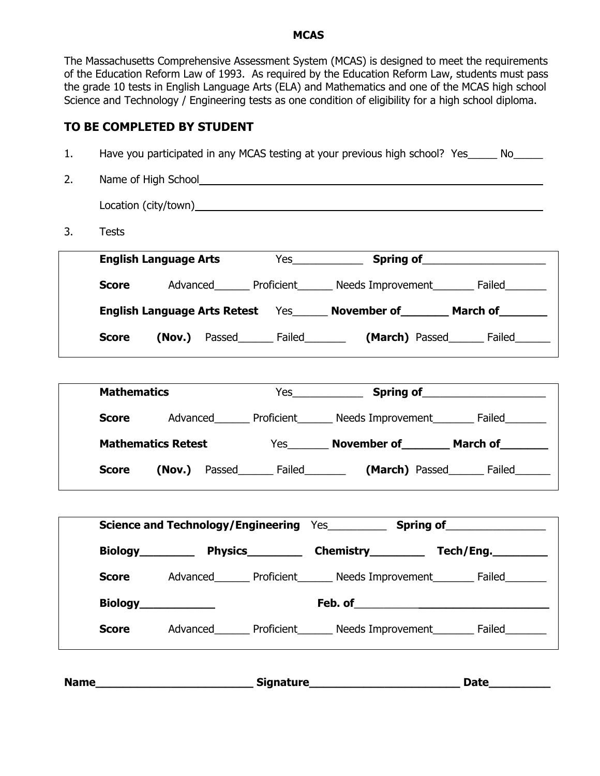#### **MCAS**

The Massachusetts Comprehensive Assessment System (MCAS) is designed to meet the requirements of the Education Reform Law of 1993. As required by the Education Reform Law, students must pass the grade 10 tests in English Language Arts (ELA) and Mathematics and one of the MCAS high school Science and Technology / Engineering tests as one condition of eligibility for a high school diploma.

## **TO BE COMPLETED BY STUDENT**

| <b>Tests</b>       |                           |                                                                                                                                                                                                                                |                                                                                   |
|--------------------|---------------------------|--------------------------------------------------------------------------------------------------------------------------------------------------------------------------------------------------------------------------------|-----------------------------------------------------------------------------------|
|                    |                           |                                                                                                                                                                                                                                |                                                                                   |
|                    |                           | <b>Score</b> Advanced Proficient Needs Improvement Failed                                                                                                                                                                      |                                                                                   |
|                    |                           | English Language Arts Retest Yes______ November of________ March of________                                                                                                                                                    |                                                                                   |
| <b>Score</b>       |                           | (Nov.) Passed_________ Failed_____________ (March) Passed________ Failed________                                                                                                                                               |                                                                                   |
| <b>Mathematics</b> |                           |                                                                                                                                                                                                                                |                                                                                   |
|                    |                           | Score Advanced Morriclent Meeds Improvement Meer Failed Morriclen Meeds Lehr Advanced Merchist Proficient Meer Needs Improvement Merchist Proficient Meer Needs Improvement Merchist Proficient Meer Needs Improvement Merchis |                                                                                   |
|                    | <b>Mathematics Retest</b> | Yes_________ November of__________ March of_________                                                                                                                                                                           |                                                                                   |
| <b>Score</b>       |                           | (Nov.) Passed________ Failed___________ (March) Passed________ Failed________                                                                                                                                                  |                                                                                   |
|                    |                           | Science and Technology/Engineering Yes_____________ Spring of___________________                                                                                                                                               |                                                                                   |
|                    |                           | Biology Physics Chemistry Tech/Eng.                                                                                                                                                                                            |                                                                                   |
|                    |                           | <b>Score</b> Advanced Proficient Needs Improvement Failed                                                                                                                                                                      |                                                                                   |
|                    | Biology <b>Example 20</b> |                                                                                                                                                                                                                                | Feb. of <b>Example 20</b> Feb. of                                                 |
| <b>Score</b>       |                           |                                                                                                                                                                                                                                | Advanced_________ Proficient_________ Needs Improvement__________ Failed_________ |

Name\_\_\_\_\_\_\_\_\_\_\_\_\_\_\_\_\_\_\_\_\_\_\_\_\_\_\_\_\_\_\_\_Signature\_\_\_\_\_\_\_\_\_\_\_\_\_\_\_\_\_\_\_\_\_\_\_\_\_\_\_\_\_\_\_\_\_\_Date\_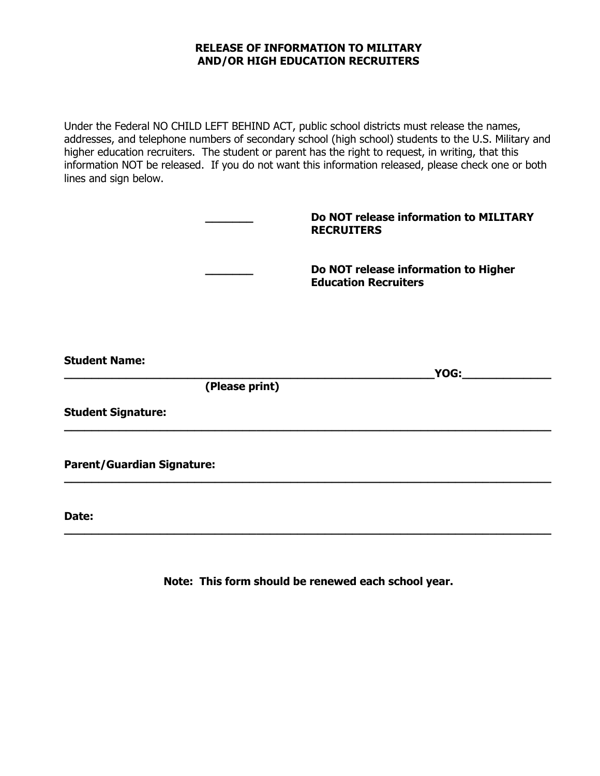### **RELEASE OF INFORMATION TO MILITARY AND/OR HIGH EDUCATION RECRUITERS**

Under the Federal NO CHILD LEFT BEHIND ACT, public school districts must release the names, addresses, and telephone numbers of secondary school (high school) students to the U.S. Military and higher education recruiters. The student or parent has the right to request, in writing, that this information NOT be released. If you do not want this information released, please check one or both lines and sign below.

|                                   |                | Do NOT release information to MILITARY<br><b>RECRUITERS</b>         |
|-----------------------------------|----------------|---------------------------------------------------------------------|
|                                   |                | Do NOT release information to Higher<br><b>Education Recruiters</b> |
| <b>Student Name:</b>              |                |                                                                     |
|                                   |                | YOG:                                                                |
|                                   | (Please print) |                                                                     |
| <b>Student Signature:</b>         |                |                                                                     |
| <b>Parent/Guardian Signature:</b> |                |                                                                     |
| Date:                             |                |                                                                     |

**Note: This form should be renewed each school year.**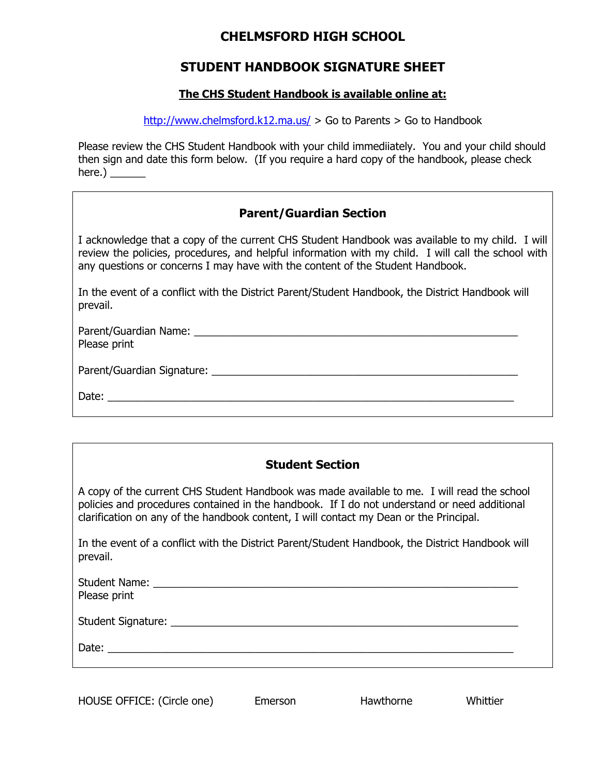## **CHELMSFORD HIGH SCHOOL**

## **STUDENT HANDBOOK SIGNATURE SHEET**

### **The CHS Student Handbook is available online at:**

http://www.chelmsford.k12.ma.us/ > Go to Parents > Go to Handbook

Please review the CHS Student Handbook with your child immediiately. You and your child should then sign and date this form below. (If you require a hard copy of the handbook, please check here.)  $\qquad \qquad$ 

## **Parent/Guardian Section**

I acknowledge that a copy of the current CHS Student Handbook was available to my child. I will review the policies, procedures, and helpful information with my child. I will call the school with any questions or concerns I may have with the content of the Student Handbook.

In the event of a conflict with the District Parent/Student Handbook, the District Handbook will prevail.

| Parent/Guardian Name: Name: Name and Allen Manual Allen Manual Allen Manual Allen Manual Allen Manual Allen Ma<br>Please print |  |
|--------------------------------------------------------------------------------------------------------------------------------|--|
|                                                                                                                                |  |
| Date:                                                                                                                          |  |

A copy of the current CHS Student Handbook was made available to me. I will read the school policies and procedures contained in the handbook. If I do not understand or need additional clarification on any of the handbook content, I will contact my Dean or the Principal.

In the event of a conflict with the District Parent/Student Handbook, the District Handbook will prevail.

| Please print |  |
|--------------|--|
|              |  |
|              |  |
|              |  |

| HOUSE OFFICE: (Circle one) | Emerson | Hawthorne | Whittier |
|----------------------------|---------|-----------|----------|
|----------------------------|---------|-----------|----------|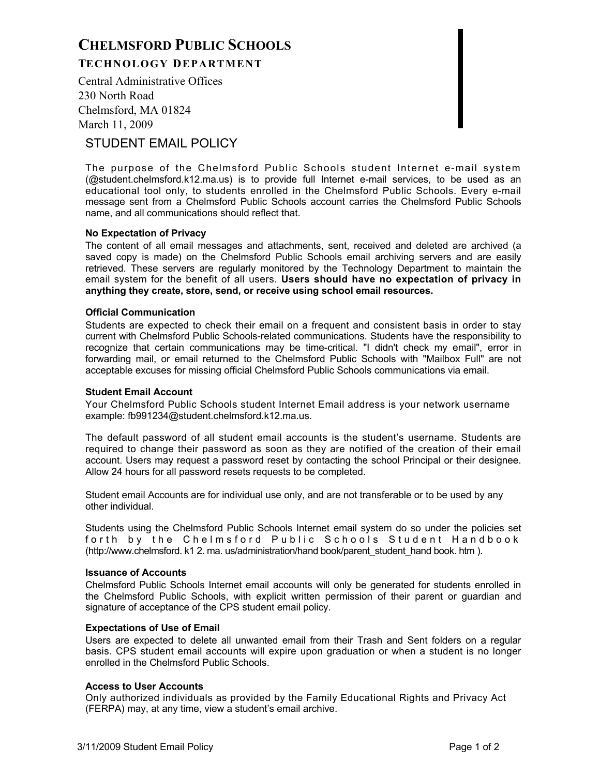# **CHELMSFORD PUBLIC SCHOOLS TECHNOLOGY DEPARTMENT**

Central Administrative Offices 230 North Road Chelmsford, MA 01824 March 11, 2009

## STUDENT EMAIL POLICY

The purpose of the Chelmsford Public Schools student Internet e-mail system (@student.chelmsford.k12.ma.us) is to provide full Internet e-mail services, to be used as an educational tool only, to students enrolled in the Chelmsford Public Schools. Every e-mail message sent from a Chelmsford Public Schools account carries the Chelmsford Public Schools name, and all communications should reflect that.

#### **No Expectation of Privacy**

The content of all email messages and attachments, sent, received and deleted are archived (a saved copy is made) on the Chelmsford Public Schools email archiving servers and are easily retrieved. These servers are regularly monitored by the Technology Department to maintain the email system for the benefit of all users. **Users should have no expectation of privacy in anything they create, store, send, or receive using school email resources.**

#### **Official Communication**

Students are expected to check their email on a frequent and consistent basis in order to stay current with Chelmsford Public Schools-related communications. Students have the responsibility to recognize that certain communications may be time-critical. "I didn't check my email", error in forwarding mail, or email returned to the Chelmsford Public Schools with "Mailbox Full" are not acceptable excuses for missing official Chelmsford Public Schools communications via email.

#### **Student Email Account**

Your Chelmsford Public Schools student Internet Email address is your network username example: fb991234@student.chelmsford.k12.ma.us.

The default password of all student email accounts is the student's username. Students are required to change their password as soon as they are notified of the creation of their email account. Users may request a password reset by contacting the school Principal or their designee. Allow 24 hours for all password resets requests to be completed.

Student email Accounts are for individual use only, and are not transferable or to be used by any other individual.

Students using the Chelmsford Public Schools Internet email system do so under the policies set forth by the Chelmsford Public Schools Student Handbook (http://www.chelmsford. k1 2. ma. us/administration/hand book/parent\_student\_hand book. htm ).

#### **Issuance of Accounts**

Chelmsford Public Schools Internet email accounts will only be generated for students enrolled in the Chelmsford Public Schools, with explicit written permission of their parent or guardian and signature of acceptance of the CPS student email policy.

#### **Expectations of Use of Email**

Users are expected to delete all unwanted email from their Trash and Sent folders on a regular basis. CPS student email accounts will expire upon graduation or when a student is no longer enrolled in the Chelmsford Public Schools.

#### **Access to User Accounts**

Only authorized individuals as provided by the Family Educational Rights and Privacy Act (FERPA) may, at any time, view a student's email archive.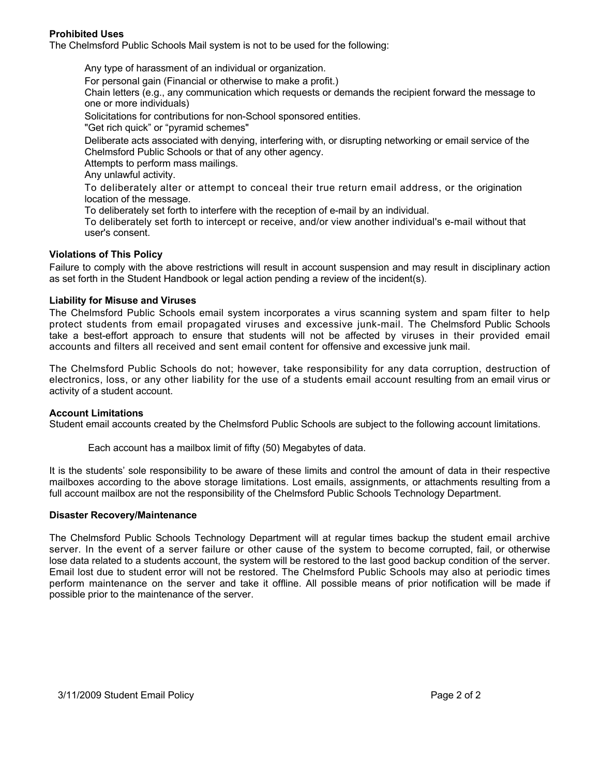#### **Prohibited Uses**

The Chelmsford Public Schools Mail system is not to be used for the following:

 Any type of harassment of an individual or organization. For personal gain (Financial or otherwise to make a profit.) Chain letters (e.g., any communication which requests or demands the recipient forward the message to one or more individuals) Solicitations for contributions for non-School sponsored entities. "Get rich quick" or "pyramid schemes" Deliberate acts associated with denying, interfering with, or disrupting networking or email service of the Chelmsford Public Schools or that of any other agency. Attempts to perform mass mailings. Any unlawful activity. To deliberately alter or attempt to conceal their true return email address, or the origination location of the message.

To deliberately set forth to interfere with the reception of e-mail by an individual.

 To deliberately set forth to intercept or receive, and/or view another individual's e-mail without that user's consent.

#### **Violations of This Policy**

Failure to comply with the above restrictions will result in account suspension and may result in disciplinary action as set forth in the Student Handbook or legal action pending a review of the incident(s).

#### **Liability for Misuse and Viruses**

The Chelmsford Public Schools email system incorporates a virus scanning system and spam filter to help protect students from email propagated viruses and excessive junk-mail. The Chelmsford Public Schools take a best-effort approach to ensure that students will not be affected by viruses in their provided email accounts and filters all received and sent email content for offensive and excessive junk mail.

The Chelmsford Public Schools do not; however, take responsibility for any data corruption, destruction of electronics, loss, or any other liability for the use of a students email account resulting from an email virus or activity of a student account.

#### **Account Limitations**

Student email accounts created by the Chelmsford Public Schools are subject to the following account limitations.

Each account has a mailbox limit of fifty (50) Megabytes of data.

It is the students' sole responsibility to be aware of these limits and control the amount of data in their respective mailboxes according to the above storage limitations. Lost emails, assignments, or attachments resulting from a full account mailbox are not the responsibility of the Chelmsford Public Schools Technology Department.

#### **Disaster Recovery/Maintenance**

The Chelmsford Public Schools Technology Department will at regular times backup the student email archive server. In the event of a server failure or other cause of the system to become corrupted, fail, or otherwise lose data related to a students account, the system will be restored to the last good backup condition of the server. Email lost due to student error will not be restored. The Chelmsford Public Schools may also at periodic times perform maintenance on the server and take it offline. All possible means of prior notification will be made if possible prior to the maintenance of the server.